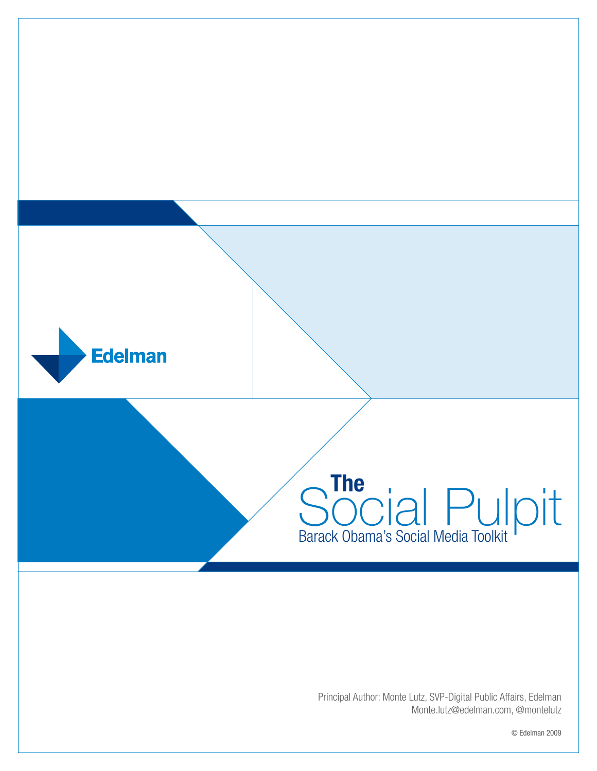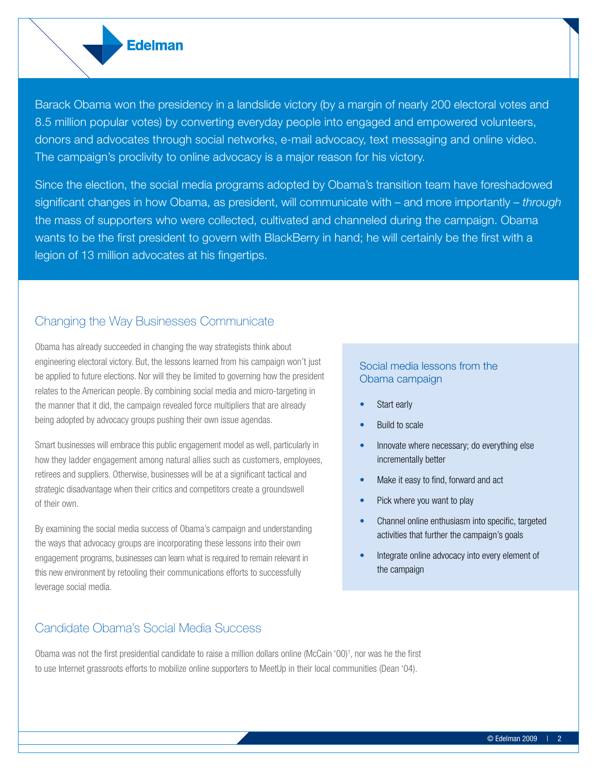Barack Obama won the presidency in a landslide victory (by a margin of nearly 200 electoral votes and 8.5 million popular votes) by converting everyday people into engaged and empowered volunteers, donors and advocates through social networks, e-mail advocacy, text messaging and online video. The campaign's proclivity to online advocacy is a major reason for his victory.

Since the election, the social media programs adopted by Obama's transition team have foreshadowed significant changes in how Obama, as president, will communicate with – and more importantly – *through* the mass of supporters who were collected, cultivated and channeled during the campaign. Obama wants to be the first president to govern with BlackBerry in hand; he will certainly be the first with a legion of 13 million advocates at his fingertips.

#### Changing the Way Businesses Communicate

**Edelman** 

Obama has already succeeded in changing the way strategists think about engineering electoral victory. But, the lessons learned from his campaign won't just be applied to future elections. Nor will they be limited to governing how the president relates to the American people. By combining social media and micro-targeting in the manner that it did, the campaign revealed force multipliers that are already being adopted by advocacy groups pushing their own issue agendas.

Smart businesses will embrace this public engagement model as well, particularly in how they ladder engagement among natural allies such as customers, employees, retirees and suppliers. Otherwise, businesses will be at a significant tactical and strategic disadvantage when their critics and competitors create a groundswell of their own.

By examining the social media success of Obama's campaign and understanding the ways that advocacy groups are incorporating these lessons into their own engagement programs, businesses can learn what is required to remain relevant in this new environment by retooling their communications efforts to successfully leverage social media.

### Candidate Obama's Social Media Success

#### Social media lessons from the Obama campaign

- Start early
- **Build to scale**
- Innovate where necessary; do everything else incrementally better
- Make it easy to find, forward and act
- Pick where you want to play
- Channel online enthusiasm into specific, targeted activities that further the campaign's goals
- Integrate online advocacy into every element of the campaign

to use Internet grassroots efforts to mobilize online supporters to MeetUp in their local communities (Dean '04).

Obama was not the first presidential candidate to raise a million dollars online (McCain '00)<sup>1</sup>, nor was he the first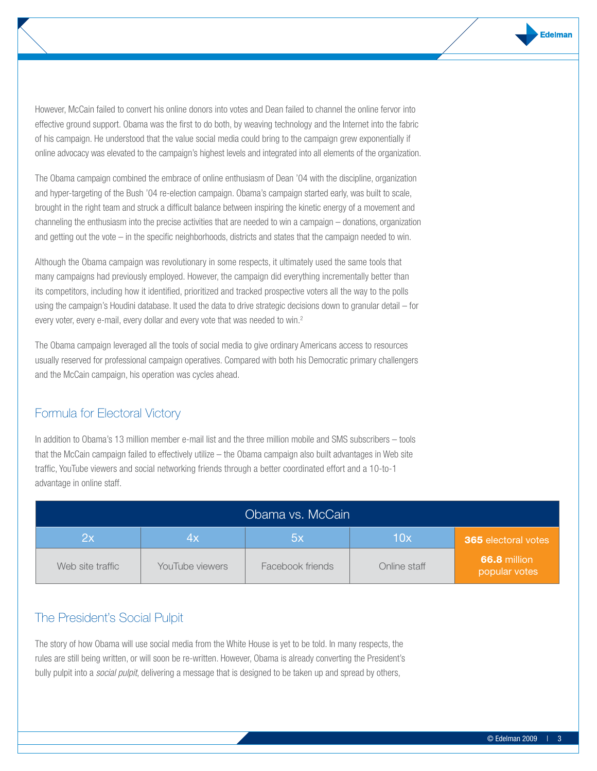However, McCain failed to convert his online donors into votes and Dean failed to channel the online fervor into effective ground support. Obama was the first to do both, by weaving technology and the Internet into the fabric of his campaign. He understood that the value social media could bring to the campaign grew exponentially if online advocacy was elevated to the campaign's highest levels and integrated into all elements of the organization.

The Obama campaign combined the embrace of online enthusiasm of Dean '04 with the discipline, organization and hyper-targeting of the Bush '04 re-election campaign. Obama's campaign started early, was built to scale, brought in the right team and struck a difficult balance between inspiring the kinetic energy of a movement and channeling the enthusiasm into the precise activities that are needed to win a campaign – donations, organization and getting out the vote – in the specific neighborhoods, districts and states that the campaign needed to win.

Although the Obama campaign was revolutionary in some respects, it ultimately used the same tools that many campaigns had previously employed. However, the campaign did everything incrementally better than its competitors, including how it identified, prioritized and tracked prospective voters all the way to the polls using the campaign's Houdini database. It used the data to drive strategic decisions down to granular detail – for every voter, every e-mail, every dollar and every vote that was needed to win.<sup>2</sup>

The Obama campaign leveraged all the tools of social media to give ordinary Americans access to resources usually reserved for professional campaign operatives. Compared with both his Democratic primary challengers and the McCain campaign, his operation was cycles ahead.

# Formula for Electoral Victory

In addition to Obama's 13 million member e-mail list and the three million mobile and SMS subscribers – tools that the McCain campaign failed to effectively utilize – the Obama campaign also built advantages in Web site traffic, YouTube viewers and social networking friends through a better coordinated effort and a 10-to-1 advantage in online staff.

| Obama vs. McCain |                 |                  |              |                                      |  |  |  |
|------------------|-----------------|------------------|--------------|--------------------------------------|--|--|--|
| 2x               | Zм              | bх               | 10x          | <b>365</b> electoral votes           |  |  |  |
| Web site traffic | YouTube viewers | Facebook friends | Online staff | <b>66.8</b> million<br>popular votes |  |  |  |

## The President's Social Pulpit

The story of how Obama will use social media from the White House is yet to be told. In many respects, the rules are still being written, or will soon be re-written. However, Obama is already converting the President's bully pulpit into a *social pulpit*, delivering a message that is designed to be taken up and spread by others,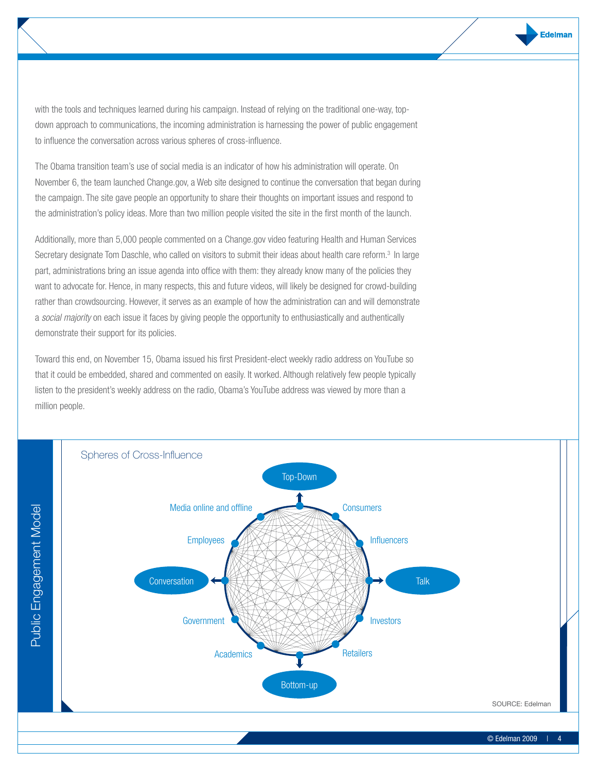with the tools and techniques learned during his campaign. Instead of relying on the traditional one-way, topdown approach to communications, the incoming administration is harnessing the power of public engagement to influence the conversation across various spheres of cross-influence.

The Obama transition team's use of social media is an indicator of how his administration will operate. On November 6, the team launched Change.gov, a Web site designed to continue the conversation that began during the campaign. The site gave people an opportunity to share their thoughts on important issues and respond to the administration's policy ideas. More than two million people visited the site in the first month of the launch.

Additionally, more than 5,000 people commented on a Change.gov video featuring Health and Human Services Secretary designate Tom Daschle, who called on visitors to submit their ideas about health care reform.<sup>3</sup> In large part, administrations bring an issue agenda into office with them: they already know many of the policies they want to advocate for. Hence, in many respects, this and future videos, will likely be designed for crowd-building rather than crowdsourcing. However, it serves as an example of how the administration can and will demonstrate a *social majority* on each issue it faces by giving people the opportunity to enthusiastically and authentically demonstrate their support for its policies.

Toward this end, on November 15, Obama issued his first President-elect weekly radio address on YouTube so that it could be embedded, shared and commented on easily. It worked. Although relatively few people typically listen to the president's weekly address on the radio, Obama's YouTube address was viewed by more than a million people.

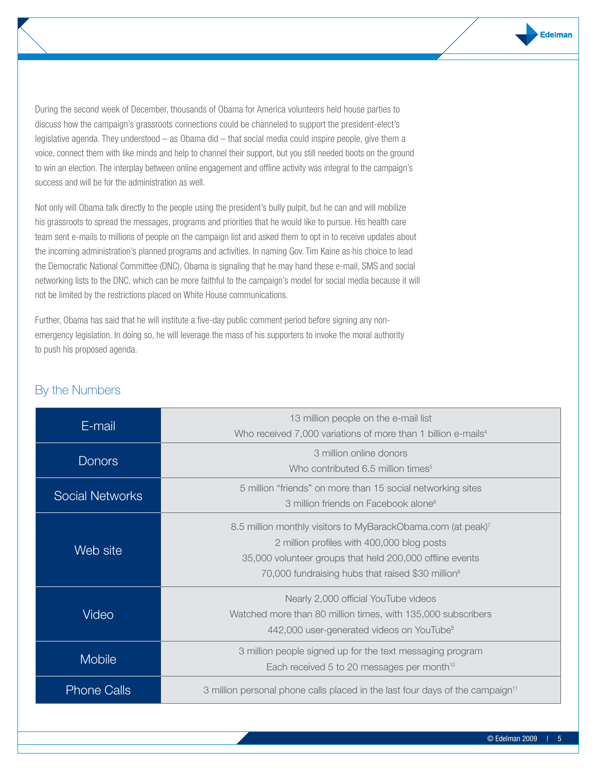During the second week of December, thousands of Obama for America volunteers held house parties to discuss how the campaign's grassroots connections could be channeled to support the president-elect's legislative agenda. They understood – as Obama did – that social media could inspire people, give them a voice, connect them with like minds and help to channel their support, but you still needed boots on the ground to win an election. The interplay between online engagement and offline activity was integral to the campaign's success and will be for the administration as well.

Not only will Obama talk directly to the people using the president's bully pulpit, but he can and will mobilize his grassroots to spread the messages, programs and priorities that he would like to pursue. His health care team sent e-mails to millions of people on the campaign list and asked them to opt in to receive updates about the incoming administration's planned programs and activities. In naming Gov. Tim Kaine as his choice to lead the Democratic National Committee (DNC), Obama is signaling that he may hand these e-mail, SMS and social networking lists to the DNC, which can be more faithful to the campaign's model for social media because it will not be limited by the restrictions placed on White House communications.

Further, Obama has said that he will institute a five-day public comment period before signing any nonemergency legislation. In doing so, he will leverage the mass of his supporters to invoke the moral authority to push his proposed agenda.

| E-mail                 | 13 million people on the e-mail list<br>Who received 7,000 variations of more than 1 billion e-mails <sup>4</sup>                                                                                                                       |  |  |
|------------------------|-----------------------------------------------------------------------------------------------------------------------------------------------------------------------------------------------------------------------------------------|--|--|
| <b>Donors</b>          | 3 million online donors<br>Who contributed 6.5 million times <sup>5</sup>                                                                                                                                                               |  |  |
| <b>Social Networks</b> | 5 million "friends" on more than 15 social networking sites<br>3 million friends on Facebook alone <sup>6</sup>                                                                                                                         |  |  |
| Web site               | 8.5 million monthly visitors to MyBarackObama.com (at peak)7<br>2 million profiles with 400,000 blog posts<br>35,000 volunteer groups that held 200,000 offline events<br>70,000 fundraising hubs that raised \$30 million <sup>8</sup> |  |  |
| Video                  | Nearly 2,000 official YouTube videos<br>Watched more than 80 million times, with 135,000 subscribers<br>442,000 user-generated videos on YouTube <sup>9</sup>                                                                           |  |  |
| <b>Mobile</b>          | 3 million people signed up for the text messaging program<br>Each received 5 to 20 messages per month <sup>10</sup>                                                                                                                     |  |  |
| <b>Phone Calls</b>     | 3 million personal phone calls placed in the last four days of the campaign <sup>11</sup>                                                                                                                                               |  |  |

# By the Numbers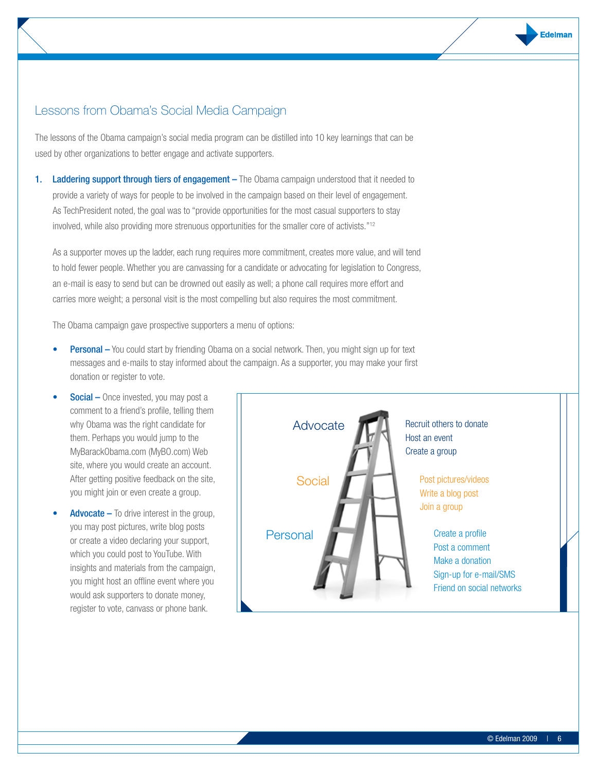### Lessons from Obama's Social Media Campaign

The lessons of the Obama campaign's social media program can be distilled into 10 key learnings that can be used by other organizations to better engage and activate supporters.

1. Laddering support through tiers of engagement – The Obama campaign understood that it needed to provide a variety of ways for people to be involved in the campaign based on their level of engagement. As TechPresident noted, the goal was to "provide opportunities for the most casual supporters to stay involved, while also providing more strenuous opportunities for the smaller core of activists."12

As a supporter moves up the ladder, each rung requires more commitment, creates more value, and will tend to hold fewer people. Whether you are canvassing for a candidate or advocating for legislation to Congress, an e-mail is easy to send but can be drowned out easily as well; a phone call requires more effort and carries more weight; a personal visit is the most compelling but also requires the most commitment.

The Obama campaign gave prospective supporters a menu of options:

- **Personal –** You could start by friending Obama on a social network. Then, you might sign up for text messages and e-mails to stay informed about the campaign. As a supporter, you may make your first donation or register to vote.
- **Social** Once invested, you may post a comment to a friend's profile, telling them why Obama was the right candidate for them. Perhaps you would jump to the MyBarackObama.com (MyBO.com) Web site, where you would create an account. After getting positive feedback on the site, you might join or even create a group.
- **Advocate –** To drive interest in the group, you may post pictures, write blog posts or create a video declaring your support, which you could post to YouTube. With insights and materials from the campaign, you might host an offline event where you would ask supporters to donate money, register to vote, canvass or phone bank.

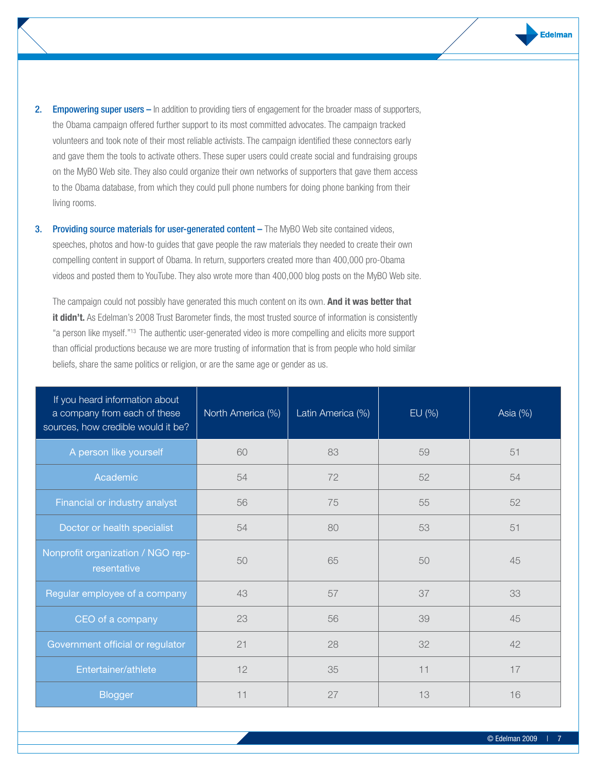- 2. Empowering super users In addition to providing tiers of engagement for the broader mass of supporters, the Obama campaign offered further support to its most committed advocates. The campaign tracked volunteers and took note of their most reliable activists. The campaign identified these connectors early and gave them the tools to activate others. These super users could create social and fundraising groups on the MyBO Web site. They also could organize their own networks of supporters that gave them access to the Obama database, from which they could pull phone numbers for doing phone banking from their living rooms.
- **3.** Providing source materials for user-generated content The MyBO Web site contained videos, speeches, photos and how-to guides that gave people the raw materials they needed to create their own compelling content in support of Obama. In return, supporters created more than 400,000 pro-Obama videos and posted them to YouTube. They also wrote more than 400,000 blog posts on the MyBO Web site.

The campaign could not possibly have generated this much content on its own. **And it was better that**  it didn't. As Edelman's 2008 Trust Barometer finds, the most trusted source of information is consistently "a person like myself."13 The authentic user-generated video is more compelling and elicits more support than official productions because we are more trusting of information that is from people who hold similar beliefs, share the same politics or religion, or are the same age or gender as us.

| If you heard information about<br>a company from each of these<br>sources, how credible would it be? | North America (%) | Latin America (%) | EU (%) | Asia (%) |
|------------------------------------------------------------------------------------------------------|-------------------|-------------------|--------|----------|
| A person like yourself                                                                               | 60                | 83                | 59     | 51       |
| Academic                                                                                             | 54                | 72                | 52     | 54       |
| Financial or industry analyst                                                                        | 56                | 75                | 55     | 52       |
| Doctor or health specialist                                                                          | 54                | 80                | 53     | 51       |
| Nonprofit organization / NGO rep-<br>resentative                                                     | 50                | 65                | 50     | 45       |
| Regular employee of a company                                                                        | 43                | 57                | 37     | 33       |
| CEO of a company                                                                                     | 23                | 56                | 39     | 45       |
| Government official or regulator                                                                     | 21                | 28                | 32     | 42       |
| Entertainer/athlete                                                                                  | 12                | 35                | 11     | 17       |
| <b>Blogger</b>                                                                                       | 11                | 27                | 13     | 16       |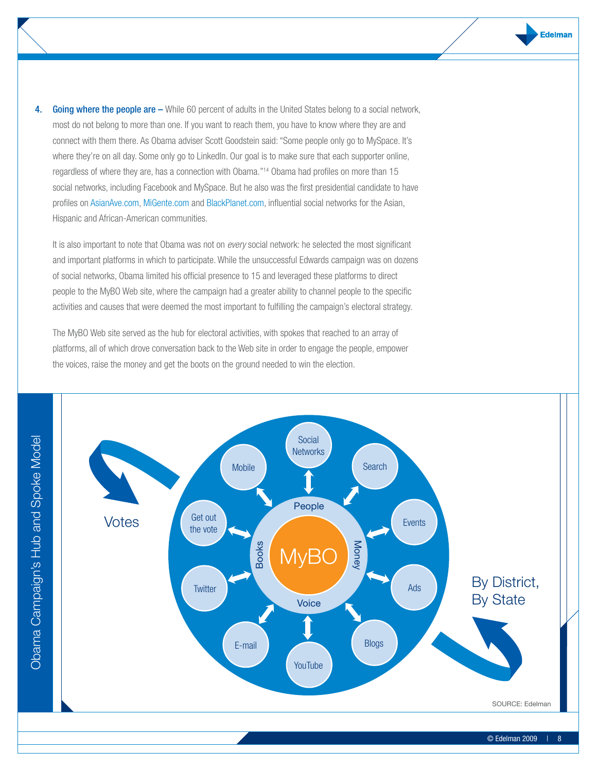4. Going where the people are – While 60 percent of adults in the United States belong to a social network, most do not belong to more than one. If you want to reach them, you have to know where they are and connect with them there. As Obama adviser Scott Goodstein said: "Some people only go to MySpace. It's where they're on all day. Some only go to LinkedIn. Our goal is to make sure that each supporter online, regardless of where they are, has a connection with Obama."14 Obama had profiles on more than 15 social networks, including Facebook and MySpace. But he also was the first presidential candidate to have profiles on AsianAve.com, MiGente.com and BlackPlanet.com, influential social networks for the Asian, Hispanic and African-American communities.

It is also important to note that Obama was not on *every* social network: he selected the most significant and important platforms in which to participate. While the unsuccessful Edwards campaign was on dozens of social networks, Obama limited his official presence to 15 and leveraged these platforms to direct people to the MyBO Web site, where the campaign had a greater ability to channel people to the specific activities and causes that were deemed the most important to fulfilling the campaign's electoral strategy.

The MyBO Web site served as the hub for electoral activities, with spokes that reached to an array of platforms, all of which drove conversation back to the Web site in order to engage the people, empower the voices, raise the money and get the boots on the ground needed to win the election.

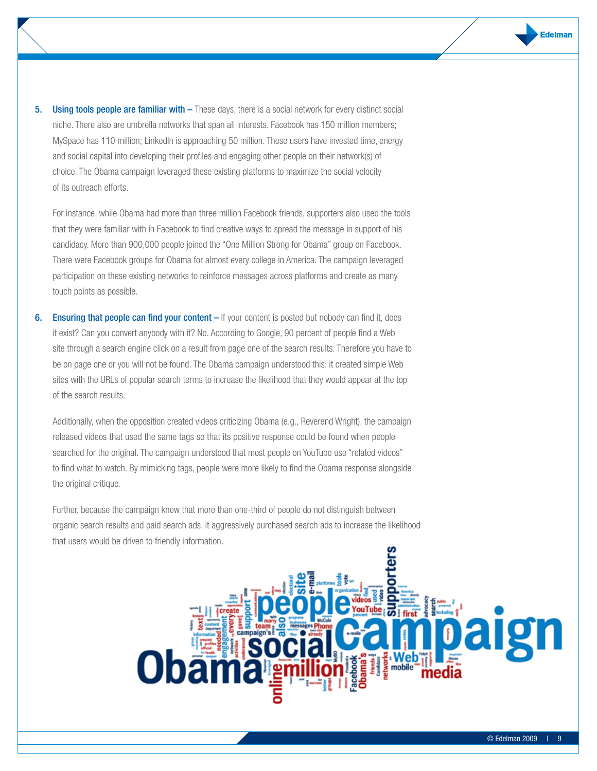**5.** Using tools people are familiar with – These days, there is a social network for every distinct social niche. There also are umbrella networks that span all interests. Facebook has 150 million members; MySpace has 110 million; LinkedIn is approaching 50 million. These users have invested time, energy and social capital into developing their profiles and engaging other people on their network(s) of choice. The Obama campaign leveraged these existing platforms to maximize the social velocity of its outreach efforts.

For instance, while Obama had more than three million Facebook friends, supporters also used the tools that they were familiar with in Facebook to find creative ways to spread the message in support of his candidacy. More than 900,000 people joined the "One Million Strong for Obama" group on Facebook. There were Facebook groups for Obama for almost every college in America. The campaign leveraged participation on these existing networks to reinforce messages across platforms and create as many touch points as possible.

6. Ensuring that people can find your content – If your content is posted but nobody can find it, does it exist? Can you convert anybody with it? No. According to Google, 90 percent of people find a Web site through a search engine click on a result from page one of the search results. Therefore you have to be on page one or you will not be found. The Obama campaign understood this: it created simple Web sites with the URLs of popular search terms to increase the likelihood that they would appear at the top of the search results.

Additionally, when the opposition created videos criticizing Obama (e.g., Reverend Wright), the campaign released videos that used the same tags so that its positive response could be found when people searched for the original. The campaign understood that most people on YouTube use "related videos" to find what to watch. By mimicking tags, people were more likely to find the Obama response alongside the original critique.

Further, because the campaign knew that more than one-third of people do not distinguish between organic search results and paid search ads, it aggressively purchased search ads to increase the likelihood that users would be driven to friendly information.

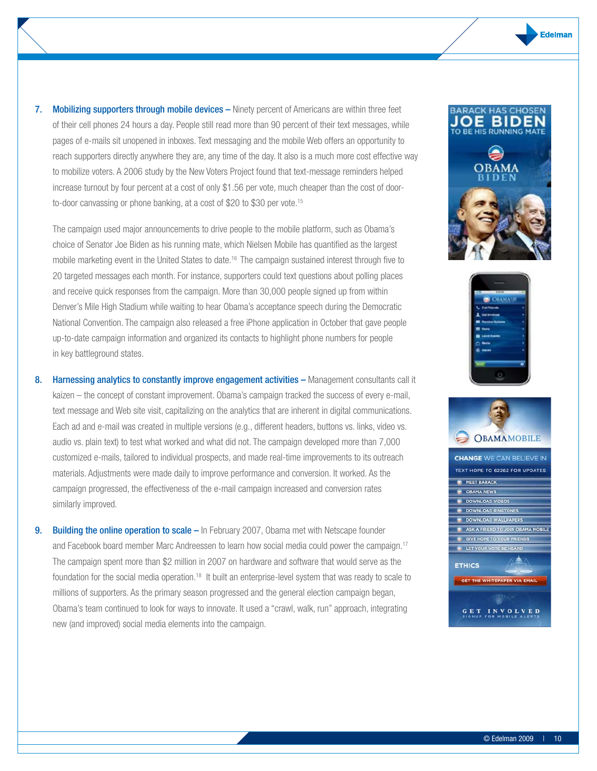7. Mobilizing supporters through mobile devices - Ninety percent of Americans are within three feet of their cell phones 24 hours a day. People still read more than 90 percent of their text messages, while pages of e-mails sit unopened in inboxes. Text messaging and the mobile Web offers an opportunity to reach supporters directly anywhere they are, any time of the day. It also is a much more cost effective way to mobilize voters. A 2006 study by the New Voters Project found that text-message reminders helped increase turnout by four percent at a cost of only \$1.56 per vote, much cheaper than the cost of doorto-door canvassing or phone banking, at a cost of \$20 to \$30 per vote.<sup>15</sup>

The campaign used major announcements to drive people to the mobile platform, such as Obama's choice of Senator Joe Biden as his running mate, which Nielsen Mobile has quantified as the largest mobile marketing event in the United States to date.16 The campaign sustained interest through five to 20 targeted messages each month. For instance, supporters could text questions about polling places and receive quick responses from the campaign. More than 30,000 people signed up from within Denver's Mile High Stadium while waiting to hear Obama's acceptance speech during the Democratic National Convention. The campaign also released a free iPhone application in October that gave people up-to-date campaign information and organized its contacts to highlight phone numbers for people in key battleground states.

- 8. Harnessing analytics to constantly improve engagement activities Management consultants call it kaizen – the concept of constant improvement. Obama's campaign tracked the success of every e-mail, text message and Web site visit, capitalizing on the analytics that are inherent in digital communications. Each ad and e-mail was created in multiple versions (e.g., different headers, buttons vs. links, video vs. audio vs. plain text) to test what worked and what did not. The campaign developed more than 7,000 customized e-mails, tailored to individual prospects, and made real-time improvements to its outreach materials. Adjustments were made daily to improve performance and conversion. It worked. As the campaign progressed, the effectiveness of the e-mail campaign increased and conversion rates similarly improved.
- 9. Building the online operation to scale In February 2007, Obama met with Netscape founder and Facebook board member Marc Andreessen to learn how social media could power the campaign.17 The campaign spent more than \$2 million in 2007 on hardware and software that would serve as the foundation for the social media operation.18 It built an enterprise-level system that was ready to scale to millions of supporters. As the primary season progressed and the general election campaign began, Obama's team continued to look for ways to innovate. It used a "crawl, walk, run" approach, integrating new (and improved) social media elements into the campaign.





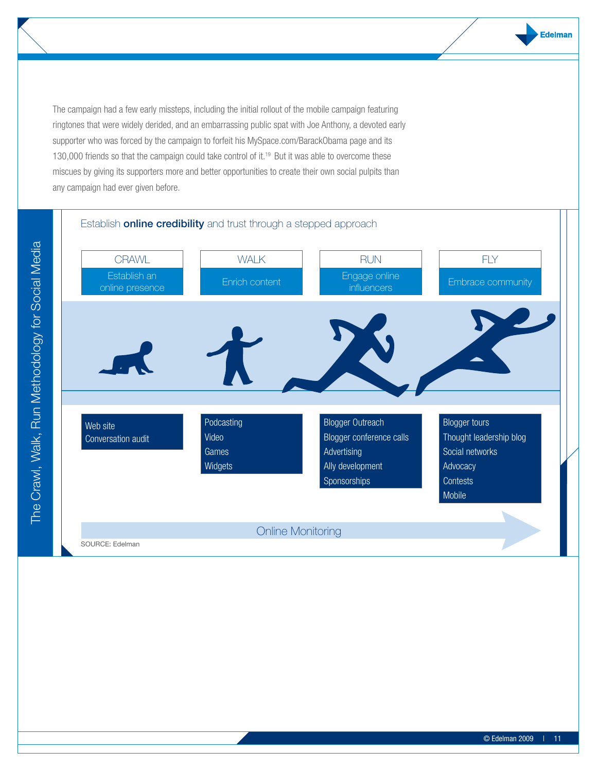The campaign had a few early missteps, including the initial rollout of the mobile campaign featuring ringtones that were widely derided, and an embarrassing public spat with Joe Anthony, a devoted early supporter who was forced by the campaign to forfeit his MySpace.com/BarackObama page and its 130,000 friends so that the campaign could take control of it.<sup>19</sup> But it was able to overcome these miscues by giving its supporters more and better opportunities to create their own social pulpits than any campaign had ever given before.

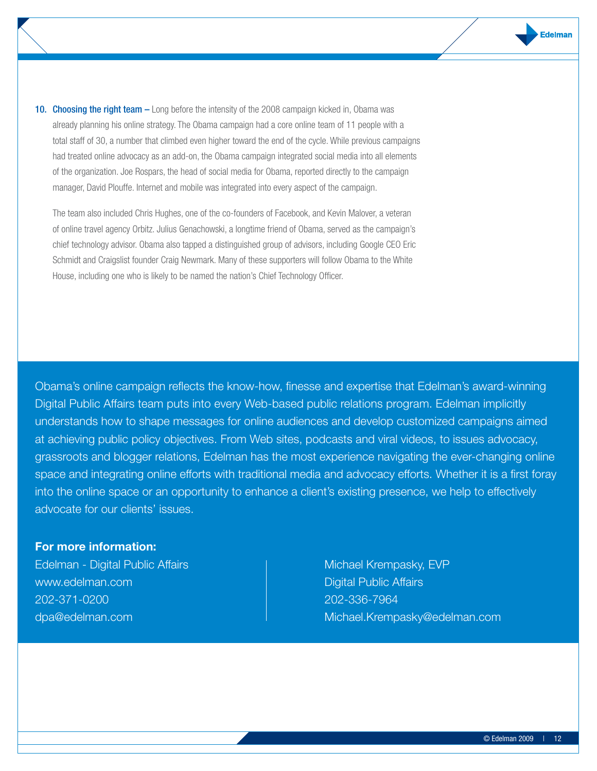10. Choosing the right team – Long before the intensity of the 2008 campaign kicked in, Obama was already planning his online strategy. The Obama campaign had a core online team of 11 people with a total staff of 30, a number that climbed even higher toward the end of the cycle. While previous campaigns had treated online advocacy as an add-on, the Obama campaign integrated social media into all elements of the organization. Joe Rospars, the head of social media for Obama, reported directly to the campaign manager, David Plouffe. Internet and mobile was integrated into every aspect of the campaign.

The team also included Chris Hughes, one of the co-founders of Facebook, and Kevin Malover, a veteran of online travel agency Orbitz. Julius Genachowski, a longtime friend of Obama, served as the campaign's chief technology advisor. Obama also tapped a distinguished group of advisors, including Google CEO Eric Schmidt and Craigslist founder Craig Newmark. Many of these supporters will follow Obama to the White House, including one who is likely to be named the nation's Chief Technology Officer.

Obama's online campaign reflects the know-how, finesse and expertise that Edelman's award-winning Digital Public Affairs team puts into every Web-based public relations program. Edelman implicitly understands how to shape messages for online audiences and develop customized campaigns aimed at achieving public policy objectives. From Web sites, podcasts and viral videos, to issues advocacy, grassroots and blogger relations, Edelman has the most experience navigating the ever-changing online space and integrating online efforts with traditional media and advocacy efforts. Whether it is a first foray into the online space or an opportunity to enhance a client's existing presence, we help to effectively advocate for our clients' issues.

#### **For more information:**

Edelman - Digital Public Affairs www.edelman.com 202-371-0200 dpa@edelman.com

Michael Krempasky, EVP Digital Public Affairs 202-336-7964 Michael.Krempasky@edelman.com